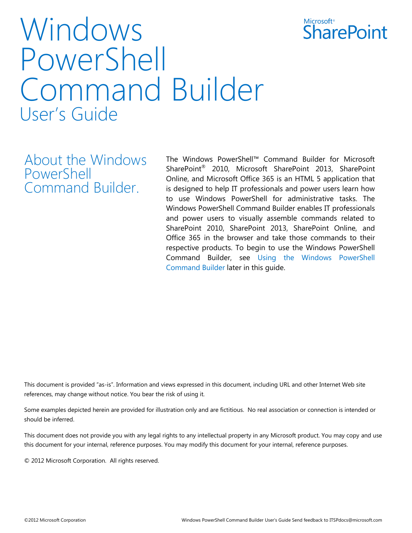

# Windows PowerShell Command Builder User's Guide

About the Windows PowerShell Command Builder.

The Windows PowerShell™ Command Builder for Microsoft SharePoint® 2010, Microsoft SharePoint 2013, SharePoint Online, and Microsoft Office 365 is an HTML 5 application that is designed to help IT professionals and power users learn how to use Windows PowerShell for administrative tasks. The Windows PowerShell Command Builder enables IT professionals and power users to visually assemble commands related to SharePoint 2010, SharePoint 2013, SharePoint Online, and Office 365 in the browser and take those commands to their respective products. To begin to use the Windows PowerShell Command Builder, see Using the Windows PowerShell Command Builder later in this guide.

This document is provided "as-is". Information and views expressed in this document, including URL and other Internet Web site references, may change without notice. You bear the risk of using it.

Some examples depicted herein are provided for illustration only and are fictitious. No real association or connection is intended or should be inferred.

This document does not provide you with any legal rights to any intellectual property in any Microsoft product. You may copy and use this document for your internal, reference purposes. You may modify this document for your internal, reference purposes.

© 2012 Microsoft Corporation. All rights reserved.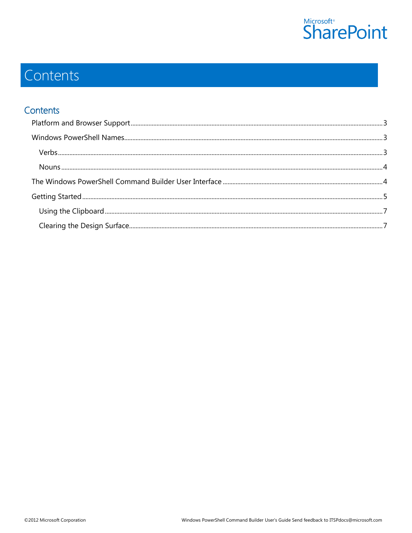

# Contents

### Contents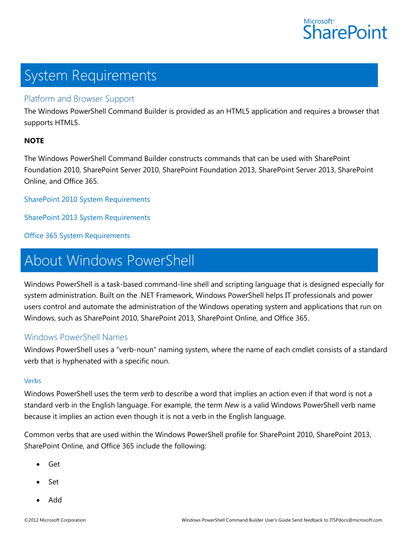

# System Requirements

#### <span id="page-2-0"></span>Platform and Browser Support

The Windows PowerShell Command Builder is provided as an HTML5 application and requires a browser that supports HTML5.

#### **NOTE**

The Windows PowerShell Command Builder constructs commands that can be used with SharePoint Foundation 2010, SharePoint Server 2010, SharePoint Foundation 2013, SharePoint Server 2013, SharePoint Online, and Office 365.

[SharePoint 2010 System Requirements](http://technet.microsoft.com/library/cc262749.aspx)

[SharePoint 2013 System Requirements](http://technet.microsoft.com/library/cc262485(v=office.15))

[Office 365 System Requirements](http://go.microsoft.com/fwlink/p/?LinkId=229662)

## About Windows PowerShell

Windows PowerShell is a task-based command-line shell and scripting language that is designed especially for system administration. Built on the .NET Framework, Windows PowerShell helps IT professionals and power users control and automate the administration of the Windows operating system and applications that run on Windows, such as SharePoint 2010, SharePoint 2013, SharePoint Online, and Office 365.

#### <span id="page-2-1"></span>Windows PowerShell Names

Windows PowerShell uses a "verb-noun" naming system, where the name of each cmdlet consists of a standard verb that is hyphenated with a specific noun.

#### <span id="page-2-2"></span>Verbs

Windows PowerShell uses the term *verb* to describe a word that implies an action even if that word is not a standard verb in the English language. For example, the term *New* is a valid Windows PowerShell verb name because it implies an action even though it is not a verb in the English language.

Common verbs that are used within the Windows PowerShell profile for SharePoint 2010, SharePoint 2013, SharePoint Online, and Office 365 include the following:

- Get
- Set
- Add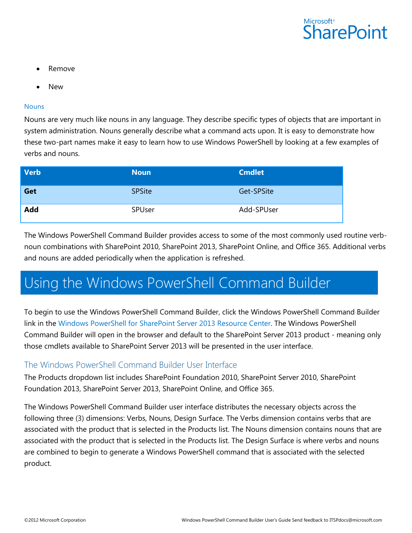

- Remove
- New

#### <span id="page-3-0"></span>**Nouns**

Nouns are very much like nouns in any language. They describe specific types of objects that are important in system administration. Nouns generally describe what a command acts upon. It is easy to demonstrate how these two-part names make it easy to learn how to use Windows PowerShell by looking at a few examples of verbs and nouns.

| <b>Verb</b> | <b>Noun</b>   | <b>Cmdlet</b> |
|-------------|---------------|---------------|
| Get         | <b>SPSite</b> | Get-SPSite    |
| <b>Add</b>  | SPUser        | Add-SPUser    |

The Windows PowerShell Command Builder provides access to some of the most commonly used routine verbnoun combinations with SharePoint 2010, SharePoint 2013, SharePoint Online, and Office 365. Additional verbs and nouns are added periodically when the application is refreshed.

### Using the Windows PowerShell Command Builder

To begin to use the Windows PowerShell Command Builder, click the Windows PowerShell Command Builder link in the [Windows PowerShell for SharePoint Server 2013](http://technet.microsoft.com/sharepoint/jj672838) Resource Center. The Windows PowerShell Command Builder will open in the browser and default to the SharePoint Server 2013 product - meaning only those cmdlets available to SharePoint Server 2013 will be presented in the user interface.

#### <span id="page-3-1"></span>The Windows PowerShell Command Builder User Interface

The Products dropdown list includes SharePoint Foundation 2010, SharePoint Server 2010, SharePoint Foundation 2013, SharePoint Server 2013, SharePoint Online, and Office 365.

The Windows PowerShell Command Builder user interface distributes the necessary objects across the following three (3) dimensions: Verbs, Nouns, Design Surface. The Verbs dimension contains verbs that are associated with the product that is selected in the Products list. The Nouns dimension contains nouns that are associated with the product that is selected in the Products list. The Design Surface is where verbs and nouns are combined to begin to generate a Windows PowerShell command that is associated with the selected product.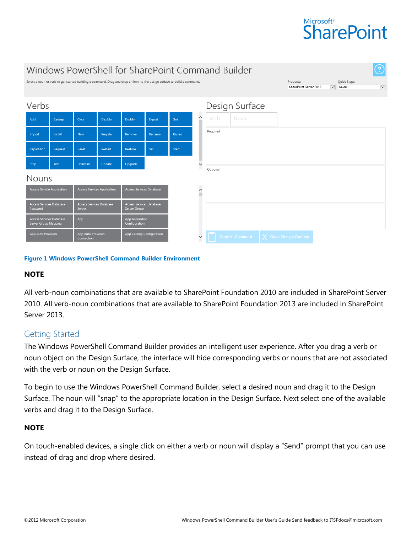### **Microsoft**® **SharePoint**

| Windows PowerShell for SharePoint Command Builder<br>$\left( 2\right)$                                                   |                |                                         |                                          |         |                |              |                |                   |      |                                     |  |                                        |             |  |
|--------------------------------------------------------------------------------------------------------------------------|----------------|-----------------------------------------|------------------------------------------|---------|----------------|--------------|----------------|-------------------|------|-------------------------------------|--|----------------------------------------|-------------|--|
| Select a noun or verb to get started building a command. Drag and drop an item to the design surface to build a command. |                |                                         |                                          |         |                |              |                |                   |      | Products:<br>SharePoint Server 2013 |  | Quick Steps:<br>$\checkmark$<br>Select | $\check{ }$ |  |
| Verbs                                                                                                                    |                |                                         |                                          |         |                |              | Design Surface |                   |      |                                     |  |                                        |             |  |
| Add                                                                                                                      | Backup         | Clear                                   | <b>Disable</b>                           | Enable  | Export         | Get          | $\hat{}$       | Verb              | Noun |                                     |  |                                        |             |  |
| Import                                                                                                                   | <b>Install</b> | <b>New</b>                              | Register                                 | Remove  | Rename         | Repair       |                | Required          |      |                                     |  |                                        |             |  |
| Repartition                                                                                                              | Request        | Reset                                   | Restart                                  | Restore | Set            | Start        |                |                   |      |                                     |  |                                        |             |  |
| Stop                                                                                                                     | Test           | <b>Uninstall</b>                        | Update                                   | Upgrade |                |              | $\checkmark$   | Optional          |      |                                     |  |                                        |             |  |
| <b>Nouns</b>                                                                                                             |                |                                         |                                          |         |                |              |                |                   |      |                                     |  |                                        |             |  |
| <b>Access Service Application</b><br><b>Access Services Application</b>                                                  |                | Access Services Database                |                                          |         | n<br>$\hat{ }$ |              |                |                   |      |                                     |  |                                        |             |  |
| Access Services Database<br>Access Services Database<br>Server<br>Password                                               |                |                                         | Access Services Database<br>Server Group |         |                |              |                |                   |      |                                     |  |                                        |             |  |
| Access Services Database<br>Server Group Mapping                                                                         |                | App Acquisition<br>App<br>Configuration |                                          |         |                |              |                |                   |      |                                     |  |                                        |             |  |
| App Auto Provision<br>App Auto Provision<br>Connection                                                                   |                |                                         | App Catalog Configuration                |         |                | $\checkmark$ |                | Copy to Clipboard |      | X Clear Design Surface              |  |                                        |             |  |

#### **Figure 1 Windows PowerShell Command Builder Environment**

#### **NOTE**

All verb-noun combinations that are available to SharePoint Foundation 2010 are included in SharePoint Server 2010. All verb-noun combinations that are available to SharePoint Foundation 2013 are included in SharePoint Server 2013.

#### <span id="page-4-0"></span>Getting Started

The Windows PowerShell Command Builder provides an intelligent user experience. After you drag a verb or noun object on the Design Surface, the interface will hide corresponding verbs or nouns that are not associated with the verb or noun on the Design Surface.

To begin to use the Windows PowerShell Command Builder, select a desired noun and drag it to the Design Surface. The noun will "snap" to the appropriate location in the Design Surface. Next select one of the available verbs and drag it to the Design Surface.

#### **NOTE**

On touch-enabled devices, a single click on either a verb or noun will display a "Send" prompt that you can use instead of drag and drop where desired.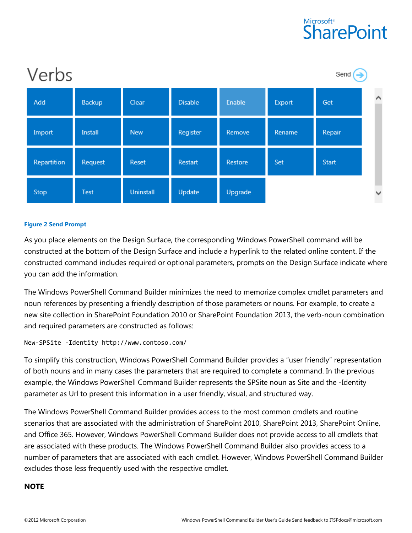### **Microsoft**® **SharePoint**



#### **Figure 2 Send Prompt**

As you place elements on the Design Surface, the corresponding Windows PowerShell command will be constructed at the bottom of the Design Surface and include a hyperlink to the related online content. If the constructed command includes required or optional parameters, prompts on the Design Surface indicate where you can add the information.

The Windows PowerShell Command Builder minimizes the need to memorize complex cmdlet parameters and noun references by presenting a friendly description of those parameters or nouns. For example, to create a new site collection in SharePoint Foundation 2010 or SharePoint Foundation 2013, the verb-noun combination and required parameters are constructed as follows:

```
New-SPSite -Identity http://www.contoso.com/
```
To simplify this construction, Windows PowerShell Command Builder provides a "user friendly" representation of both nouns and in many cases the parameters that are required to complete a command. In the previous example, the Windows PowerShell Command Builder represents the SPSite noun as Site and the -Identity parameter as Url to present this information in a user friendly, visual, and structured way.

The Windows PowerShell Command Builder provides access to the most common cmdlets and routine scenarios that are associated with the administration of SharePoint 2010, SharePoint 2013, SharePoint Online, and Office 365. However, Windows PowerShell Command Builder does not provide access to all cmdlets that are associated with these products. The Windows PowerShell Command Builder also provides access to a number of parameters that are associated with each cmdlet. However, Windows PowerShell Command Builder excludes those less frequently used with the respective cmdlet.

#### **NOTE**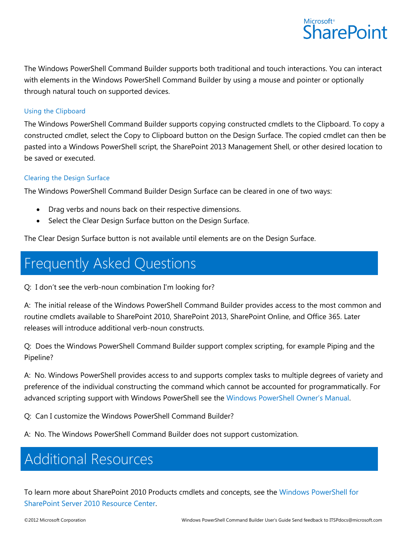

The Windows PowerShell Command Builder supports both traditional and touch interactions. You can interact with elements in the Windows PowerShell Command Builder by using a mouse and pointer or optionally through natural touch on supported devices.

#### <span id="page-6-0"></span>Using the Clipboard

The Windows PowerShell Command Builder supports copying constructed cmdlets to the Clipboard. To copy a constructed cmdlet, select the Copy to Clipboard button on the Design Surface. The copied cmdlet can then be pasted into a Windows PowerShell script, the SharePoint 2013 Management Shell, or other desired location to be saved or executed.

#### <span id="page-6-1"></span>Clearing the Design Surface

The Windows PowerShell Command Builder Design Surface can be cleared in one of two ways:

- Drag verbs and nouns back on their respective dimensions.
- Select the Clear Design Surface button on the Design Surface.

The Clear Design Surface button is not available until elements are on the Design Surface.

### Frequently Asked Questions

Q: I don't see the verb-noun combination I'm looking for?

A: The initial release of the Windows PowerShell Command Builder provides access to the most common and routine cmdlets available to SharePoint 2010, SharePoint 2013, SharePoint Online, and Office 365. Later releases will introduce additional verb-noun constructs.

Q: Does the Windows PowerShell Command Builder support complex scripting, for example Piping and the Pipeline?

A: No. Windows PowerShell provides access to and supports complex tasks to multiple degrees of variety and preference of the individual constructing the command which cannot be accounted for programmatically. For advanced scripting support with Windows PowerShell see the Windows [PowerShell Owner's Manual](http://go.microsoft.com/fwlink/p/?LinkID=187817).

Q: Can I customize the Windows PowerShell Command Builder?

A: No. The Windows PowerShell Command Builder does not support customization.

### Additional Resources

To learn more about SharePoint 2010 Products cmdlets and concepts, see the [Windows PowerShell for](http://go.microsoft.com/fwlink/p/?LinkID=220221)  [SharePoint Server 2010 Resource Center.](http://go.microsoft.com/fwlink/p/?LinkID=220221)